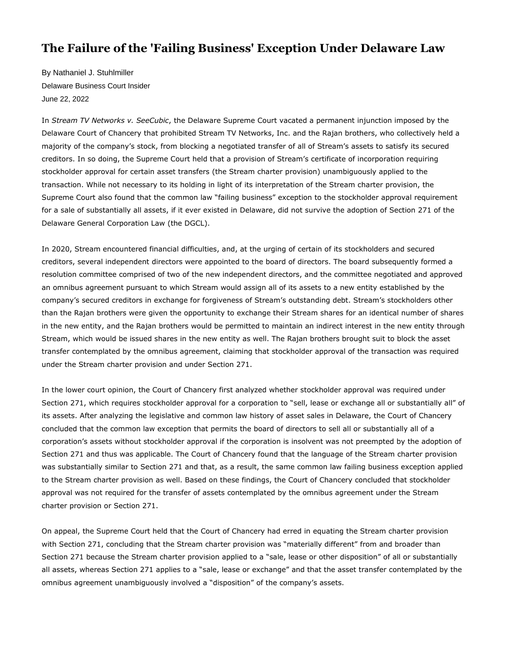## **The Failure of the 'Failing Business' Exception Under Delaware Law**

By Nathaniel J. Stuhlmiller Delaware Business Court Insider June 22, 202[2](http://www.delbizcourt.com/PubArticleDBCI.jsp?hubtype=MAIN_PAGE&id=1202593757804#postComment#postComment) 

In *Stream TV Networks v. SeeCubic*, the Delaware Supreme Court vacated a permanent injunction imposed by the Delaware Court of Chancery that prohibited Stream TV Networks, Inc. and the Rajan brothers, who collectively held a majority of the company's stock, from blocking a negotiated transfer of all of Stream's assets to satisfy its secured creditors. In so doing, the Supreme Court held that a provision of Stream's certificate of incorporation requiring stockholder approval for certain asset transfers (the Stream charter provision) unambiguously applied to the transaction. While not necessary to its holding in light of its interpretation of the Stream charter provision, the Supreme Court also found that the common law "failing business" exception to the stockholder approval requirement for a sale of substantially all assets, if it ever existed in Delaware, did not survive the adoption of Section 271 of the Delaware General Corporation Law (the DGCL).

In 2020, Stream encountered financial difficulties, and, at the urging of certain of its stockholders and secured creditors, several independent directors were appointed to the board of directors. The board subsequently formed a resolution committee comprised of two of the new independent directors, and the committee negotiated and approved an omnibus agreement pursuant to which Stream would assign all of its assets to a new entity established by the company's secured creditors in exchange for forgiveness of Stream's outstanding debt. Stream's stockholders other than the Rajan brothers were given the opportunity to exchange their Stream shares for an identical number of shares in the new entity, and the Rajan brothers would be permitted to maintain an indirect interest in the new entity through Stream, which would be issued shares in the new entity as well. The Rajan brothers brought suit to block the asset transfer contemplated by the omnibus agreement, claiming that stockholder approval of the transaction was required under the Stream charter provision and under Section 271.

In the lower court opinion, the Court of Chancery first analyzed whether stockholder approval was required under Section 271, which requires stockholder approval for a corporation to "sell, lease or exchange all or substantially all" of its assets. After analyzing the legislative and common law history of asset sales in Delaware, the Court of Chancery concluded that the common law exception that permits the board of directors to sell all or substantially all of a corporation's assets without stockholder approval if the corporation is insolvent was not preempted by the adoption of Section 271 and thus was applicable. The Court of Chancery found that the language of the Stream charter provision was substantially similar to Section 271 and that, as a result, the same common law failing business exception applied to the Stream charter provision as well. Based on these findings, the Court of Chancery concluded that stockholder approval was not required for the transfer of assets contemplated by the omnibus agreement under the Stream charter provision or Section 271.

On appeal, the Supreme Court held that the Court of Chancery had erred in equating the Stream charter provision with Section 271, concluding that the Stream charter provision was "materially different" from and broader than Section 271 because the Stream charter provision applied to a "sale, lease or other disposition" of all or substantially all assets, whereas Section 271 applies to a "sale, lease or exchange" and that the asset transfer contemplated by the omnibus agreement unambiguously involved a "disposition" of the company's assets.